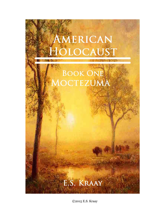

©2015 E.S. Kraay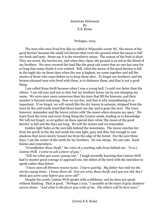American Holocaust By E.S. Kraay

## Prologue, 2015

The men who once lived free like us called it *Wipazuka waste Wi*, 'the moon of the good berries' because the small red berries that cover the ground when the moon is full are fresh and tasty. Some say it is the strawberry moon. The season of the fruit is short. They are sweet, the berries are, and when they ripen, the ground is as red as the blood of my brothers. We once covered the land like the great salt water that no one has seen for so long that many doubt it ever existed. Still, when the moon of the good berries is full in the night sky on those days when the sun is highest, we come together and tell the stories of those who came before us to keep them alive. To forget our brothers, and the bronze-skinned men who lived with them, is to dishonor them, and that is not a good thing.

I am called Runs Swift because when I was a young bull, I could run faster than the others. I am old now and not so fast, but my brothers honor me by not changing my name. We were once more numerous than the stars that fill the heavens, and their number is beyond reckoning. Now we are few, and that is why remembering is so important. If we forget, we will vanish like the dry leaves in autumn, stripped from the trees by the cold north wind that blows hard one day and is gone the next. The trees, however, remember and the leaves return with 'the moon when streams are open.' We learn from the trees and every living thing the Creator sends, leading us to knowledge. We will not forget, so we gather on these special days when 'the moon of the good berries' is full and the days are long. We tell the stories and we remember.

Golden light fades as the sun falls behind the mountains. The moon watches her from his perch in the sky and sends his own light, gray and dim, but enough to cast shadows that move slowly toward me from the edge of the forest. For the next three days, I am the center of the earth for my brothers. No one sleeps. No one eats. Each listens and remembers.

"*Grandfather Runs Swift*," the voice of a yearling calls from behind me. "*It is I, Listens Well. I come to ask a favor of you.*"

"*Tell me what you want, young one.*" I laugh inwardly knowing that Listens Well had to muster great courage to approach me, the eldest of the herd with the intention to speak rather than listen!

"*I have seen all thirteen moons twice. I learn quickly. My father has told me the stories many times. I know them all. You are wise, Runs Swift, and you are old, but I think you were wise before you were old!*"

Despite his youth, Listens Well speaks with confidence, and he does not speak without thinking. That is good. "*Perhaps I was*," I mumble as the mass of gray shadows moves closer. "*And what is the favor you wish of me. The others will be here soon.*"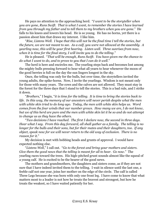He pays no attention to the approaching herd. "*I want to be the storyteller when you are gone, Runs Swift. That is what I want, to remember the stories I have learned from you through my father and to tell them to my brothers when you are gone.*" He falls to his knees and lowers his head. He is so young. He has no horns, yet there is a passion about him that draws my interest. I like him.

"*Rise, Listens Well. I hope that this will not be the final time I tell the stories, but the future, we are not meant to see. As a calf, you were not allowed at the assembly. A yearling now, this will be your first hearing. Listen well. Three sunrises from now, when it is time for the final story, I will invite you to do the telling.*"

He is pleased. "*That will be enough, Runs Swift. You have given me the chance to do what I want to do, and to prove to you that I can do it well.*"

The herd is here and encircles me. The yearling steps back and becomes lost among the mighty bulls pressing forward to hear what all yearn to hear whenever the moon of the good berries is full on the day the sun lingers longest in the sky.

Once, the telling was only for the bulls, but over time, the storytellers invited the young adults, the spike-horns. Now, I invite the yearlings. Wisdom is not meant only for those with many years. The cows and the calves are not allowed. They must stay in the forest for the three days that I stand to tell the stories. This is a bad rule, and I strike it down.

"*Brothers*," I begin, "*it is time for the telling. It is time to bring the stories back to life. In this way, the memory of our ancestors will never perish despite what the men with white skin tried to do long ago. Today, the men with white skin helps us. Word comes from the four winds that our number grows. How many we are, I do not know, but we of this herd are pure and the men with white skin let it be so and do not attempt to change us as they have the others.*

"*Two decisions I have reached. The first I declare now, the second in three days. Hear what I say. From this day forward, all shall gather as a family. The telling is no longer for the bulls and their sons, but for their mates and their daughters, too. If any object, speak now for we will never return to the old way of exclusion. There is no reason for it.*"

My decision is met with bobbing heads and grunts of approval. I would have expected nothing else.

"*Listens Well*," I call out. "*Go to the forest and bring your mothers and sisters. Give them the good news that the telling is meant for all to hear. Go now.*" The yearling races toward the trees. His high-pitched grunt sounds almost like the squeal of a young calf. He is excited to be the bearer of the good news.

The mothers and grandmothers, the daughters and sisters come, as if they are not sure that I have indeed invited them to the telling. I wait in silence until the last one, a feeble calf not one year, joins her mother on the edge of the circle. The calf is called Three Legs because she was born with only one front leg. I have come to know that what matters most to a leader is not how he treats the bravest and strongest, but how he treats the weakest, so I have waited patiently for her.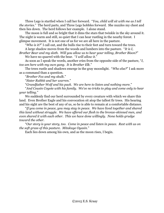Three Legs is startled when I call her forward. "*You, child will sit with me as I tell the stories.*" The herd parts, and Three Legs hobbles forward. She nuzzles my chest and then lies down. The herd follows her example. I alone stand.

The moon is full and so bright that it dims the stars that twinkle in the sky around it. The night is warm and still, so quiet that I can hear rustling in the nearby forest. I glimpse movement. It is not one of us for we are all here in the pasture.

"*Who is it?*" I call out, and the bulls rise to their feet and turn toward the trees.

A large shadow moves from the woods and lumbers into the pasture. "*It is I,* 

*Brother Bear and my sloth. Will you allow us to hear your telling, Brother Bison?*" We have no quarrel with the bear. "*I will allow it.*"

As soon as I speak the words, another cries from the opposite side of the pasture, "*I, too am here with my own gang. It is Brother Elk.*"

The trees rustle and shadows emerge in the gray moonlight. "*Who else?*" I ask more as a command than a question.

"*Brother Fox and my skulk.*"

"*Sister Rabbit and her warren.*"

"*Grandfather Wolf and his pack. We are here to listen and nothing more.*"

"*And Cousin Coyote with his family. We've no tricks to play and come only to hear your telling.*"

We suddenly find our herd surrounded by every creature with which we share this land. Even Brother Eagle and his convocation sit atop the tallest fir trees. His hearing and his sight are the best of any of us, so he is able to remain at a comfortable distance.

"*If you come in peace, you may stay in peace. We have lived together and shared this land without struggle. We have offered our flesh to the bronze-skinned men, and even shared it with each other. This we have done willingly. None holds grudge toward the other.*

"*Our story is your story, too. Come in peace and listen in peace. Rest with us on the soft grass of this pasture. Mitakuye Oyasin.*"

Each lies down among his own, and as the moon rises, I begin.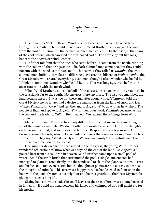## Chapter One, 1520 Moctezuma

His name was *Ehekatl Meztli*, Wind Brother because whenever the wind blew through the grassland, he would turn to face it. Wind Brother most enjoyed the wind from the north. *Mictlampa*, the bronze-skinned men called it. In their songs, they sang of the cool breeze, which caressed the sun-baked earth. The hard clay felt like rock, beneath the hooves of Wind Brother.

His father told him that the ones who came before us came from the north, running with the cold wind that brings snow. The dark-skinned men came, too, but they could not run with the wind as *tatanka* could. That is what they called us *tatanka*, the whiteskinned men, buffalo. It makes no difference. We are the children of *Wakan Tanka*, the Great Mystery who created everything, even men, though I often wonder why he did it. I think he sometimes wonders why he did it, too. That was long ago, even before our ancestors came with the north wind.

When Wind Brother was a spike bull of three years, he ranged with the great herd in the grasslands far to the south. No one goes there anymore. The last we remember, the land became desert. It was too hot there and after a long while, *Mictlampa* told the Great Mystery he no longer had a desire to roam so far from the land of snow and ice. *Wakan Tanka* said, "Okay" and left the land to *Anpetu Wi* to do with as he wished. The people of that land spoke to *Anpetu Wi* with their own word, *Tonatiuh* because he was the sun and the leader of *Tollan*, their heaven. We learned these things from Wind Brother.

Men confuse me. They use too many different words that mean the same thing. It is not the same for animals. We do not often use words because we know the thoughts each has on his mind, and we respect each other. Respect requires few words. Our bronze-skinned friends, who no longer rule the plains that once were ours, have the best words for it. They say, "Mitakuye Oyasin. We are one family." It is unfortunate that the white-skinned men do not believe it.

One summer day while the herd rested in the tall grass, the young Wind Brother wandered off, curious to know what was beyond the end of the land. As *Anpetu Wi* poured heat from his cauldron in heaven, Wind Brother came upon a small pool of water. Amid the scrub brush that surrounded the pool, a single, ancient tree had managed to plant its roots firmly into the sandy soil to claim the place as its own. Trees and bushes talk, too, even cactus, but the thoughts of plants are not as easy to hear as the thoughts of animals. This tree was a happy tree. He had learned to flourish in the heat with the pool of water as his neighbor and he was grateful to the Great Mystery for giving him such a long life.

Sitting beneath what shade the small leaves of the tree offered was a young boy clad in loincloth. He held his head between his knees and whimpered as a calf might cry for his mother.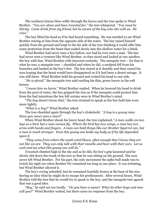The southern breeze blew softly through the leaves and the tree spoke to Wind Brother. "*You are alone and have traveled far,*" the tree whispered. "*You must be thirsty. Come drink from my friend, but be aware of the boy who sits with us. He cries.*"

The boy lifted his head as if he had heard something. He was startled to see Wind Brother staring at him from the opposite side of the water. The boy raised himself quickly from the ground and leapt to the far side of the tree thinking it could offer him some protection from the beast that waded slowly into the shallow water for a drink.

Wind Brother had never seen a boy before, nor had he ever seen a man. The boy had never seen a creature like Wind Brother, so they stood and looked at one another, the boy with fear, Wind Brother with innocent curiosity. The mesquite tree – for that is what he was, a mesquite tree – chuckled and when he did, a seedpod fell from his branches and landed at the boy's feet. The boy stared at it dumbly and then raised his eyes hoping that the beast would have disappeared as if it had been a desert mirage. It was still there. Wind Brother held his ground and cocked his head to one side.

"*He is afraid,*" the mesquite tree said rustling his thin, green leaves in the soft breeze.

"*I mean him no harm,*" Wind Brother replied. When he lowered his head to drink from the pool of water, the boy gripped the tree as if the mesquite could protect him from the bad intentions the boy felt certain were in Wind Brother's mind.

"*The boy doesn't know that,*" the tree strained to speak as the boy held him even more tightly.

"*What is a boy?*" Wind Brother asked.

The tree chuckled again through the boy's chokehold. "*A boy is a young man. Have you never seen a man?*"

When Wind Brother shook his heavy head, the tree explained, "*A man walks on two legs as a bird, but a man cannot fly. Where the bird has two wings, a man has two arms with hands and fingers. A man can hold things like our Brother Squirrel can, but a man is much stronger. Even this young one holds my body as if his life depended upon it.*

"*They come from where the south wind blows, often enough that I know they are not like we are. They can only talk with their mouths and hear with their ears. Let us wait and see what this young one will do.*"

*Tonatiuh* climbed high in the sky and as he did, the boy's grip loosened and he slowly slid down the trunk of the tree so that he was sitting on the ground. His eyes never left Wind Brother. For his part, the only movement the spike bull made was to twitch his right eye when Brother Fly remained too long in one place. It was irritating, but Wind Brother allowed it.

The boy's crying subsided, but he remained fearfully frozen at the base of the tree having no idea what he might do to escape his predicament. After several hours, Wind Brother told the tree that he would try to speak to the boy, and the mesquite tree agreed that was a good idea.

"*Boy*," he said not too loudly. "*Do you have a name? What do other boys and men call you?*" Wind Brother waited, but there came no response from the boy.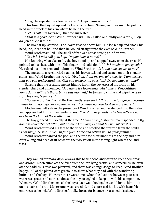"*Boy*," he repeated in a louder voice. "*Do you have a name?*"

This time, the boy sat up and looked around him. Seeing no other man, he put his head in the crook of his arm where he held the tree.

"*Let us call him together*," the tree suggested.

"*That is a good idea,*" Wind Brother said. They called out loudly and slowly, "*Boy, do you have a name?*"

The boy sat up, startled. The leaves rustled above him. He looked up and shook his head, 'no, it cannot be,' and then he looked straight into the eyes of Wind Brother.

Wind Brother smiled. The smell of fear was not as strong as it first was.

"*Yes, it is I who call you, boy. Do you have a name?*"

Not knowing what else to do, the boy stood up and stepped away from the tree. He pointed to his chest with one of his fingers and said aloud, "*Is it I to whom you speak.*" He raised his other arm and pointed to Wind Brother. "*Is it you who speaks to me?*"

The mesquite tree chortled again as his leaves twisted and turned on their slender stems, and Wind Brother answered, "*Yes, boy. I am the one who speaks. I am pleased that you can understand me. Can you answer my question? Do you have a name?*"

Sensing that the creature meant him no harm, the boy crossed his arms on his slender chest and announced, "*My name is Moctezuma. My home is Tenochtitlan. Some day, I will rule there, but at this moment,*" he began to sniffle and wipe the tears from his eyes, "*I am lost.*"

"*No, little brother*," Wind Brother gently answered. "*It is a time to rejoice. Because I have found you, you are no longer lost. You have no need to shed more tears.*"

Moctezuma felt safe in the presence of Wind Brother and he stepped into the water and approached him with extended arms. "*We shall be friends. The tree tells me you are from the land of the south wind.*"

The boy glanced quizzically at the tree. "*I cannot say*," Moctezuma responded. "*My home is called Tenochtitlan, but because I am lost, I cannot tell you where it is.*"

Wind Brother raised his face to the wind and smelled the warmth from the south. "*That way,*" he said. "*We will find your home and return you to your family.*"

Wind Brother thanked the pool and the tree for their kindness to the boy and him. After a long and deep draft of water, the two set off in the fading light where the land rises.

They walked for many days, always able to find food and water to keep them fresh and strong. Moctezuma ate the fruit from the low-lying cactus, and sometimes, he even ate the paddles. Grass was plentiful, and there was enough sedge to keep Wind Brother happy. All of the plants were gracious to share what they had with the wandering buffalo and the boy. However there were times when the distance between places of water was great, and at these times, the boy struggled to keep up with his companion. Whenever Wind Brother sensed the boy's pace was slowing, he would invite him to sit on his back and rest. Moctezuma was very glad, and expressed his joy with heartfelt embraces as he held Wind Brother's spike horns for balance or grasped his shaggy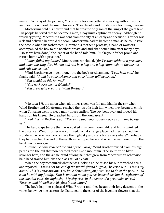mane. Each day of the journey, Moctezuma became better at speaking without words and hearing without the use of his ears. Their hearts and minds were becoming like one.

Moctezuma told his new friend that he was the only son of the king of the great lake. His people believed that to become a man, a boy must capture an enemy. Although he was very young, Moctezuma was sent from the city at an early age because his father was sick and believed he would die soon. Moctezuma had to become a man so he could rule the people when his father died. Despite his mother's protests, a band of warriors accompanied the boy to the northern wasteland and abandoned him after many days. "Do as we have done," the leader of the band told him. "Make your father proud and return home with a prisoner."

"*I have failed my father*," Moctezuma concluded, "*for I return without a prisoner, and when the king dies, his son will still be a boy and a boy cannot sit on the throne and rule the people.*"

Wind Brother gave much thought to the boy's predicament. "*I can help you*," he finally said. "*I will be your prisoner and your father will be proud.*"

"*You would do this for me?*"

"*Why not? Are we not friends?*"

"*You are a wise creature, Wind Brother.*"

*Wasuton Wi*, the moon when all things ripen was full and high in the sky when Wind Brother and Moctezuma reached the top of a high hill, which they began to climb when *Tonatiuh* went to sleep many hours earlier. The boy bent over and braced his hands on his knees. He breathed hard from the long ascent.

"*Look,*" Wind Brother said. "*There are two moons, one above us and one below us.*"

The landscape before them was soaked in silvery moonlight, and lights twinkled in the distance. Wind Brother was confused. What strange place had they reached, he wondered, where two moons grace the night sky and stars blaze everywhere? Perhaps they had reached the end of the earth as he hoped he would when he wandered from the herd two moons ago.

"*I think we have reached the end of the world*," Wind Brother mused from his high perch atop the hill that now seemed more like a mountain. The south wind blew stronger here, and the single braid of long hair that grew from Moctezuma's otherwise bald head trailed him like the black tail of a coati.

When the boy recognized what he was looking at, he raised his out-stretched arms and rejoiced. "*This is not the end of the world, friend buffalo*," he cried out. "*This is my home! This is Tenochtitlan! You have done what you promised to do at the pool. I will soon be with my family. That is no twin moon you see beneath us, but the reflection of the one that rules the night sky. My city rises in the center of a great lake we call Texcoco, and Metztli sees his face in the water.*"

The boy's happiness pleased Wind Brother and they began their long descent to the valley below. As the eastern sky lightened to the color of the lavender flowers that the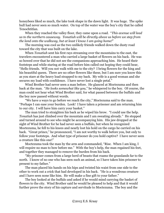honeybees liked so much, the lake took shape in the dawn light. It was huge. The spike bull had never seen so much water. On top of the water was the boy's city that he called Tenochtitlan.

When they reached the valley floor, they came upon a road. "*This avenue will lead us to the northern causeway. Tonatiuh will be directly above us before we step from the land onto the walkway, but at least I know I am going home!*"

The morning was cool as the two unlikely friends walked down the dusty road toward the city that was built on the lake.

When *Tonatiuh* sent his first rays streaming over the mountains to the east, the travelers encountered a man who carried a large basket of flowers on his back. He was so bowed over that he did not see the companions approaching him. He heard their footsteps and while staring at the road before him called out hoping they could hear, "Hello friends. Will you not walk with me to the city? I bring flowers for the king and his beautiful queen. There are no other flowers like these, but I am sure you know this as you stare at the heavy load strapped to my back. My wife is a good woman and she secures my load with confidence. I have never lost a single petal."

Wind Brother had never seen a man before. He glanced at Moctezuma and then back at the man. "*He looks somewhat like you,*" he whispered to the boy. Of course, the man could not hear what Wind Brother said, for what passed between the buffalo and the boy now passed without words.

"We have a ways to go before we reach the city," Moctezuma said to the man. "Perhaps I can ease your burden. Look! I have taken a prisoner and am returning him to our city. I will have him carry your basket."

The man tried to straighten his back as he wiped his brow. "I could use the help. *Tonatiuh* has just climbed over the mountain and I am sweating already." He stopped and turned around to see who might be accompanying him. His jaw dropped at the sight of Wind Brother for he had never seen a buffalo, but when he recognized Moctezuma, he fell to his knees and nearly lost his hold on the cargo he carried on his back. "Great prince," he pronounced, "I am not worthy to walk before you, but only to follow your footsteps. And what type of prisoner do you hold captive? I have never seen a creature like this one!"

Moctezuma took the man by the arm and commanded, "Rise. When I am king, I will require no man to bow before me." With the boy's help, the man regained his feet, and together they managed to remove the burden from his back.

"My prisoner comes from a large herd of beasts that roams the grasslands far to the north. I know of no one who has seen such an animal, so I have taken him prisoner to present to my father."

The man placed his hands on his hips and twisted his waist from one side to the other to work out a crick that had developed in his back. "He is a wondrous creature and I have seen none like him. He will make a fine gift to your father."

The boy looked at the buffalo and asked if he would mind carrying the basket of flowers to the city. Wind Brother said he would be pleased to help and that it would further prove the story of his capture and servitude to Moctezuma. The boy and the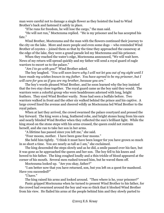man were careful not to damage a single flower as they hoisted the load to Wind Brother's back and fastened it safely in place.

"If he runs for freedom, he will lose the cargo," the man said.

"He will not run," Moctezuma replied. "He is my prisoner and he has accepted his fate."

Wind Brother, Moctezuma and the man with the flowers continued their journey to the city on the lake. More and more people and even some dogs – who reminded Wind Brother of coyotes – joined them so that by the time they approached the causeway at the edge of the lake, they were a grand parade led my Moctezuma and his prisoner.

When they reached the water's edge, Moctezuma announced, "We will wait here. News of my return will spread quickly and my father will send a royal guard of eagle warriors to escort us to the palace."

"*Am I to go with you?*" Wind Brother asked.

The boy laughed. "*You will soon learn why I will not let you out of my sight until I have made my wishes known to my father. You have agreed to be my prisoner, but I will care for you as if you are my brother, because you are.*"

The boy's words pleased Wind Brother, and he soon learned why the boy insisted that the two stay close together. The royal guard came as the boy said they would. The warriors were a colorful group who wore headdresses adorned with long, bright feathers. They eyed Wind Brother warily. None had seen a buffalo before. Two warriors walked in front and the other six walked behind the prince and his captive. A large crowd lined the avenue and cheered wildly as Moctezuma led Wind Brother to the royal palace.

When at last they arrived, the crowd swarmed the palace courtyard and pressed the boy forward. The king wore a long, feathered robe, and bright stones hung from his ears and nearly blinded Wind Brother when they reflected the sun's brilliant light. While the king stood on the stone steps with his arms crossed, the queen could not restrain herself, and she ran to take her son in her arms.

"A lifetime has passed since you left me," she said.

"Four moons, mother. I have been gone four moons."

She held him tightly. "I think it must have been longer for you have grown so much in so short a time. You are nearly as tall as I am," she exclaimed.

The king descended the steps slowly and as he did, a smile passed over his face, but it was gone as he approached the queen and her son. The boy fell to his knees and bowed to his father. The king coughed loudly and a thin trickle of blood appeared at the corner of his mouth. Several men rushed toward him, but he waved them off.

Moctezuma looked up. "Are you okay, father?"

"I am better now that you have returned, son, but you left on a quest for manhood. Have you succeeded?"

"I have."

The king raised his arms and looked around. "Then where is he, your prisoner?"

Panic gripped Moctezuma when he turned to present Wind Brother to his father, for the crowd had swarmed around the boy and was so thick that it blocked Wind Brother from his view. He flailed his arms at the people behind him and they slowly parted to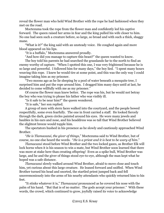reveal the flower man who held Wind Brother with the rope he had fashioned when they met on the road.

Moctezuma took the rope from the flower man and confidently led his captive forward. The queen raised her arms in fear and the king pulled his wife closer to him. No one had seen such a creature before, so large, so broad and with such a thick, shaggy mane.

"What is it?" the king said with an unsteady voice. He coughed again and more blood appeared on his lips.

"It is a buffalo," Moctezuma answered proudly.

"And how did you manage to capture this beast?" the queen wanted to know.

The boy told his parents he had searched the grasslands far to the north to find an enemy worthy of capture. "When I spotted this one, I was very frightened because he is so large and powerful. I followed him for many days," the boy lied. "I spent many hours weaving this rope. I knew he would tire at some point, and this was the only way I could imagine taking him as my prisoner.

"Two moons ago as he lie sleeping by a pool of water beneath a mesquite tree, I surprised him and put the rope around him. I dragged him many days until at last, he decided to come willfully with me as my prisoner."

Of course the flower man knew better. The rope was his, but he would not betray the boy who was trying to please his father who was visibly ill.

"Is it safe to be near him?" the queen wondered.

"It is safe," her son replied.

A group of men with stern faces walked into the courtyard, and the people bowed respectfully, some even fearfully. The one in front carried a staff. He looked fiercely through the dark, green circles painted around his eyes. He wore many jewels and baubles in his ears and nose, and his headdress was so tall that Wind Brother believed the slightest breeze would topple him.

The spectators hushed in his presence as he slowly and cautiously approached Wind Brother.

"*He is Tlamacazui, the giver of things*," Moctezuma said to Wind Brother, but of course, no one else heard the words. "*He is a priest and it is best to be wary of him*."

*Tlamacazui* stood before Wind Brother and the two locked gazes, as Brother Elk will lock horns when it is his season to win a mate, but Wind Brother soon learned that there was more at stake here than creating offspring! Even as a spike bull, Wind Brother was large, and he and the giver of things stood eye-to-eye, although the man kept what he hoped was a safe distance.

*Tlamacazui* slowly walked around Wind Brother, afraid to move close and touch him, yet curious about this large creature. He leaned forward and sniffed. When Wind Brother turned his head and snorted, the startled priest jumped back and fell unceremoniously into the arms of his nearby attendants who quickly returned him to his feet.

"It stinks whatever it is," *Tlamacazui* pronounced as he covered his nose with the palm of his hand. "But that is of no matter. The gods accept your prisoner." With these words, the crowd, which continued to grow, joyfully raised its voice to acknowledge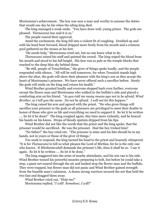Moctezuma's achievement. The boy was now a man and worthy to assume the duties that would one day be his when the ailing king died.

The king managed a weak smile. "You have done well, young prince. The gods are pleased. *Tlamacazui* has said it is so."

The people roared their approval.

Amid the excitement, the king fell into a violent fit of coughing. Doubled up and with his head bent forward, blood dripped more freely from his mouth and a crimson pool gathered on the stones at his feet.

"He needs help," Moctezuma cried out, but no one knew what to do.

*Tlamacazui* raised his staff and quieted the crowd. The king wiped the blood from his mouth and stood to his full height. His face was as pale as the temple blocks that reached to the deep blue sky behind them.

"Be still, people of Tenochtitlan," the giver of things spoke loudly, and the people responded with silence. "All will be well tomorrow, for when *Tonatiuh* stands high above the altar, the gods will show their pleasure with the king's son as they accept the heart of Moctezuma's prisoner. We have never offered such a sacrifice before. Surely the gods will smile on the king and return his health."

Wind Brother grunted loudly and everyone stepped back even further, everyone except the flower man and Moctezuma who walked to the buffalo's side and placed a comforting arm on his friend. "*As you told me many moons ago not to be afraid, Wind Brother, so I tell you the same. Do not be afraid. I will not let this happen*."

The king raised his arm and agreed with the priest. "He who gives things will sacrifice your prisoner to the gods as all prisoners are privileged to meet their deaths in honor of those who give us life and everything we need to support it. So let it be written …. So let it be done!" The king coughed again, this time more violently, and he braced his hands on his knees. Drops of bloody sputum dripped from his lips.

Wind Brother did not like the words that the priest and the king spoke, that the prisoner would be sacrificed. He was the prisoner. Had the boy tricked him?

"No father!" the boy cried out. "The prisoner is mine and his fate should be in my hands, not in yours or those of the giver of things."

Too weak to respond, the king turned his head to the priest and hoarsely whispered. "It is for *Tlamacazui* to tell us what pleases the Lord of Mictlan, for he is the only one who knows. If *Mictlantecuhtli* demands the prisoner's life, then it shall be so. I say it again. So let it be written …. So let it be done."

The king staggered into the arms of nearby attendants, and his son ran to his side. Wind Brother tensed his powerful muscles preparing to bolt, but before he could take a step, a giant net soared through the air and landed atop the flower man and the buffalo. They were trapped, but flower man did not panic and Wind Brother gained strength from the humble man's calmness. A dozen strong warriors secured the net that held the two fast and dragged them away.

Wind Brother cried out, "*Help me!*" Moctezuma replied, "*I will! Somehow, I will!*"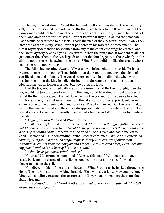The night passed slowly. Wind Brother and the flower man shared the same, dirty cell, but neither seemed to mind. Wind Brother tried to talk to the flower man, but the flower man could not hear him. There were other captives as well, all men, hundreds of them, and amid the murmurs, Wind Brother knew that they all awaited the same fate. Each would be sacrificed to the vicious gods the men of the city worshipped. If only they knew the Great Mystery, Wind Brother pondered in his miserable predicament. The Great Mystery demanded no sacrifice from any of the countless things he created, and the Great Mystery gave freely to all creatures. When the rain came, it was sent to all, not just one or the other, to the two-leggeds and not the four-leggeds, to those who fly in the air and not to those who swim in the water. Wind Brother did not like these gods whose names he could not even say.

The following morning, *Anpetu Wi* was slow to bring light to the world. Perhaps he wanted to teach the people of Tenochtitlan that their gods did not crave the blood of sacrificed men and animals. The guards were confused in the dim light when word reached them that the king had died during the night watch, and that meant that Moctezuma was no longer a prince, but now ruled the land.

Had the boy not returned with me as his prisoner, Wind Brother thought, then the boy would not be considered a man, and the king would have died without a successor. Wind Brother was pleased. He had done well for the boy and for the people he ruled.

For six days, the mist never rose from the lake, nor did anyone, priest, soldier or citizen come to the prison to demand sacrifice. The city mourned. On the seventh day, before the mist vanished and the clouds disappeared, Moctezuma entered the cell. He was alone and looked no differently than he had when he and Wind Brother first entered the city.

"*Do you fare well?*" he asked Wind Brother.

"*I will not complain*," Wind Brother replied. "*I am sorry that your father has died, but I know he has returned to the Great Mystery and no longer feels the pain that was a part of his ailing body.*" Moctezuma had cried all of his tears and had none left to shed. He nodded his understanding. Wind Brother continued, "*While I am concerned with my own fate, I have but a single request, that you release this flower man. Although he cannot hear me, nor you and I when we talk to each other, I consider him my friend, and he is not here of his own account.*"

"*It shall be as you wish, Wind Brother.*"

"Guards!" Moctezuma commanded. "Release this man." Without hesitation, the large, burly man in charge of the cellblock opened the door and respectfully led the flower man from the cell.

"Goodbye, my friend," he said and bowed to Wind Brother as he backed through the door. Then turning to the new king, he said, "Bless you, great king. May you live long!" Moctezuma politely returned the gesture as the flower man walked into the returning light a free man.

"*I am pleased for him*," Wind Brother said, "*but where does my fate lie? This talk of sacrifice is not good.*"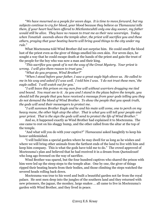"*We have mourned as a people for seven days. It is time to move forward, but my subjects continue to cry for blood, your blood because they believe as Tlamacazui tells them, if your heart had been offered to Mictlantecuhtli only one day sooner, my father would still be alive. They have no reason to trust me as their new sovereign*. *Today when Tonatiuh ascends above the temple altar, the priest will sacrifice you and these others, praying that your beating hearts will bring good things to the city under my rule.*"

What Moctezuma told Wind Brother did not surprise him. He could smell the blood lust of the priest even as the giver of things smelled his own skin. For seven days, he sought a way that he could escape death at the hands of the priest and gain the trust of the people for the boy who was now a man and their king.

"*This sacrifice you speak of is not the way of the Great Mystery. Your priest is wrong. I will give them reason to trust you.*"

"*What do you propose, Wind Brother?*"

"*When I stood before your father, I saw a great eagle high above us. He called to me in his way and asked if I was well. I told him I was. 'I do not trust these men,' the eagle called. 'I will watch out for you.'*

"*I will leave this prison on my own free will without warriors dragging me tied and bound. You must see to it. As you and I stand in the plaza before the temple, you should tell the people that you have received a message from your gods telling you they do not demand the blood of Wind Brother. To show the people that you speak truth, the gods will send their messengers to protect me.*

"*I will summon Brother Eagle and he and his mate will come, one to perch on my heavy mane, the other high atop the altar. That is what you will tell your people and your priest. That is the sign the gods will send to protect the life of Wind Brother.*"

And so, it happened exactly as Wind Brother had explained it to Moctezuma. The one came to rest on his shaggy hump, and the other called from the altar at the top of the temple.

"And what will you do with your captive?" *Tlamacazui* asked haughtily to keep his honor unblemished.

"I will build him a special garden where he may dwell for as long as he wishes and where we will bring other animals from the farthest ends of the land to live with him and keep him company. This is what the gods have told me to do." The crowd approved of Moctezuma's plan and believed that he had received it in a dream from *Quetzalcoatl* who long ago frowned on the way of sacrifice.

Wind Brother was spared, but the four hundred captives who shared the prison with him were led up the steep steps to the temple altar. One by one, the giver of things ripped their beating hearts from their bodies, and those climbing the steps watched the severed heads rolling back down.

Moctezuma was true to his word and built a beautiful garden not far from the royal palace. He sent men deep into the jungles of the southern land and they returned with new prisoners, the jaguar, the monkey, large snakes … all came to live in Moctezuma's garden with Wind Brother, and they lived in peace.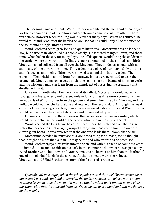The seasons came and went. Wind Brother remembered the herd and often longed for the companionship of his fellows, but Moctezuma came to visit him often. There were times, however when the king would leave for many days. When he returned, he would tell Wind Brother of the battles he won so that he could unify all of the cities of the south into a single, united empire.

Wind Brother's beard grew long and quite luxurious. Moctezuma was no longer a boy, but a true man who ruled his people wisely. He fathered many children, and those times when he left the city for many days, one of his queens would bring the children to the garden where they would sit in fine greenery surrounded by the animals and birds Moctezuma had collected from all over the kingdom. They abided as friends with no animosity of one toward the other. The garden was a place of harmony. Only the king and his queens and their children were allowed to spend time in the garden. The citizens of Tenochtitlan and visitors from faraway lands were permitted to walk the promenade Moctezuma constructed so that he could share the beauty of his menagerie and the wisdom a man can learn from the simple act of observing the creatures that dwelled within it.

Once each month when the moon was at its fullest, Moctezuma would leave his royal garb in his quarters, and dressed only in loincloth as if he were a common citizen, he would lead Wind Brother from the garden and sneak from the city. The king and the buffalo would wander the land alone and return on the second day. Although the royal consorts knew the king's practice, it was never discussed. Moctezuma and Wind Brother would return under the cover of darkness and no one asked questions.

On one such foray into the wilderness, the two experienced an encounter, which would forever change the world of the people who lived in the city on the lake.

Word reached the king from the eastern provinces that watched over the vast salt water that never ends that a large group of strange men had come from the water in eleven giant boats. It was reported that the one who leads them "glows like the sun."

Moctezuma decided he must see this wondrous thing for himself, for he thought that it might be more than a man. It may be the god who returns as he promised.

Wind Brother enjoyed his treks into the open land with his friend of countless years. He invited Moctezuma to ride on his back in the manner he did when he was just a boy. Wind Brother was a bull now, and Moctezuma was no heavier to him than the feather of one of his colorful friends in the garden. As they walked toward the rising sun, Moctezuma told Wind Brother the story of the feathered serpent …

*Quetzalcoatl was angry when the other gods created the world because men were not treated as equals and had to worship the gods. Quetzalcoatl, whose name means 'feathered serpent' took the form of a man so that he might walk among us and share the knowledge that the gods hid from us. Quetzalcoatl was a good god and much loved by the people.*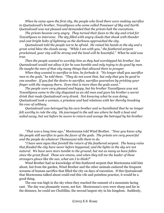*When he came upon the first city, the people who lived there were making sacrifice to Quetzalcoatl's brother, Tezcatlipoca who some called Possessor of Sky and Earth. Quetzalcoatl was not pleased and demanded that the priests halt the executions.*

*The priests became very angry. They turned their faces to the sky and cried for Tezcatlipoca to intervene. The sky filled with angry clouds that shook with thunder and cast bright bolts of lightning as the darkness approached the city.*

*Quetzalcoatl told the people not to be afraid. He raised his hands to the sky and a great wind blew the clouds away. "While I am with you," the feathered serpent proclaimed, your city will be strong and the land will be bountiful." What he said was true.*

*Then the people wanted to worship him as they had worshipped his brother, but Quetzalcoatl would not allow it for he was humble and only trying to do good by men. He taught the men of that city many things that allowed them to prosper.*

*When they wanted to sacrifice to him, he forbade it. "No longer shall you sacrifice men to the gods," he told them. "They do not want that, but only that you be good to one another. If you feel the desire to sacrifice, sacrifice yourselves by pricking your finger with the maguey thorn. Even that is more than the gods want."*

*The people were very pleased and happy, but his brother Tezcatlipoca was not. Tezcatlipoca came to the city disguised as an old man and gave his brother a secret drink that made Quetzalcoatl very drunk. Not knowing what he was doing, Quetzalcoatl took a woman, a priestess and had relations with her thereby breaking his vow of celibacy.*

*Quetzalcoatl was betrayed by his own brother and so humiliated that he no longer felt worthy to rule the city. He journeyed to the salt sea where he built a boat and sailed away, but not before he swore to return and avenge the betrayal by his brother.*

"*That was a long time ago*," Moctezuma told Wind Brother. "*Now you know why the people still sacrifice to gain the favor of the gods. The priests are very powerful and the people do whatever Tlamacazui tells them to do*.

"*I have seen signs that foretell the return of the feathered serpent. The heavy rains that flooded the city have never before happened, and the lights in the sky are not natural. We have seen stars tumble to the ground, but not as many as have fallen since the great flood. These are omens, and when they tell me the leader of these strangers glows like the sun, what am I to think?*"

Wind Brother had no knowledge of this feathered serpent that Moctezuma told him about, but from the garden, Wind Brother and the other animals endured the frequent screams of human sacrifice that filled the city on days of execution. If this Quetzalcoatl that Moctezuma talked about could end this vile and pointless practice, it would be a good thing.

The sun was high in the sky when they reached the summit of a mountain facing east. The day was pleasantly warm, not hot. Moctezuma's eyes were sharp and far in the distance, he could see Cholōllān, the second largest city in his kingdom. Suddenly,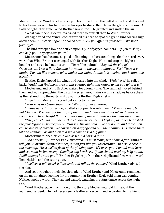Moctezuma told Wind Brother to stop. He climbed from the buffalo's back and dropped to his haunches with his hand above his eyes to shield them from the glare of the sun. A flash of light. This time, Wind Brother saw it, too. He grunted and sniffed the air.

"What can it be?" Moctezuma asked more to himself than to Wind Brother.

An eagle cried and Wind Brother turned his head to spot the grand bird soaring high above them. "*Brother Eagle*," he called out. "*Will you offer us your help? We need your eyes.*"

The bird swooped low and settled upon a pile of jagged boulders. "*If you wish it, I can help you. My eyes are yours*."

Moctezuma had become so good at listening to all created things that he heard every word that Wind Brother exchanged with Brother Eagle. He stood atop the highest boulder and stretched out his arm. "*There*," he pointed. "*Beyond the city of Quetzalcoatl, I see a light flashing far away on the distant plateau. See! There it is again. I would like to know what makes this light. I think it is moving, but I cannot be certain.*"

Brother Eagle flapped his wings and soared into the wind. "*Wait here*," he called back, "*And I will find the source of this strange light and return to tell you what it is*."

Moctezuma and Wind Brother waited for a long while. The sun had moved behind them and was approaching the distant western mountains casting shadows before them as they stared into the eastern sky awaiting Brother Eagle's return.

"*I see him!*" Moctezuma cried out rising to his feet.

"*Your eyes are better than mine*," Wind Brother answered.

"*I have news*," Brother Eagle called swooping towards them. "*They are men, but not like you. They attract the rays of the sun, and their skin glows when it caresses them. It can be so bright that it can take away my sight unless I turn my eyes away.*

*"They travel with animals such as I have never seen. I kept my distance but asked the four-leggeds who they were. 'Horses,' the one said. 'We are horses and these men call us beasts of burden. We carry their baggage and pull their cannons.' I asked them what a cannon was and they told me a cannon is a big gun."*

Moctezuma rubbed his chin and asked, "*What is a gun*?"

"*I do not know*," Brother Eagle answered. "*I must leave, but I have a final thing to tell you. A bronze-skinned runner, a man just like you Moctezuma will arrive here in the morning. He is well in front of the glowing men. If I were you, I would wait here and see what he has to say. Goodbye, my brothers. If you should need my help again, I will always be with you.*" Brother Eagle leapt from the rock pile and flew west toward Tenochtitlan and the setting sun.

"*I believe it will be wise if we wait and talk to the runner,*" Wind Brother advised the king.

And so, throughout their sleepless night, Wind Brother and Moctezuma remained on the mountaintop looking for the runner that Brother Eagle told them was coming. Neither spoke a word. They sat and waited, watching the stars dance across the night sky.

Wind Brother gave much thought to the story Moctezuma told him about the feathered serpent. He had never seen a feathered serpent, and according to his friend,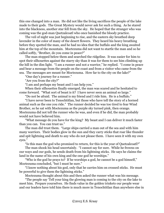this one changed into a man. He did not like the living sacrifices the people of the lake made to their gods. The Great Mystery would never ask for such a thing. As he stared into the blackness, another star fell from the sky. He hoped that the stranger who was coming was the god-man Quetzalcoatl who once banished the bloody practice.

The veil of night was just beginning to rise, and the eastern sky breathed deep lavender in the color of many of the desert flowers. They heard his heavy breathing before they spotted the man, and he had no idea that the buffalo and the king awaited him at the top of the mountain. Moctezuma did not want to startle the man and so he called softly, "Brother, do you come in peace?"

The man stopped below them and searched the ridgeline. It was easier for him to spot their silhouettes against the starry sky than it was for them to see him climbing up the hill in the dim light. "I am a runner and not a warrior," he replied. "I come in peace and bear a message from the people on the coast and from a visitor who came from the sea. The messages are meant for Moctezuma. How far to the city on the lake?"

"One day's journey for a runner."

"Are you from the city?"

"I am and perhaps my beast and I can help you."

When their silhouettes finally emerged, the man was scared and he hesitated to come forward. "What sort of beast is it? I have never seen an animal so large."

"Do not be afraid. The animal is my friend and I ride him. He is a buffalo."

"I have never been to Tenochtitlan, but those who have tell the story of a horned animal such as the one you ride." The runner decided he was too tired to fear Wind Brother, so he sat with Moctezuma as the purple sky turned pink, then orange. Moctezuma did not tell the runner who he was, and even if he did, the man probably would not have believed him.

"What message do you have for the king? My beast and I can deliver it much faster than you can. You can trust us."

The man did trust them. "Large ships carried a man out of the sea and with him many warriors. Their bodies glow in the sun and they carry sticks that roar like thunder and spit lightning and death to any who do not please them. I have seen it with my own eyes."

"Is this man the god who promised to return, for this is the year of Quetzalcoatl?"

The man shook his head uncertainly. "I cannot say for sure. While he frowns on our ways and our gods, he sends death from his lightning sticks. He says he claims the land in the name of his own king and the one god he worships."

"Who is the god he prays to? If he worships a god, he cannot be a god himself," Moctezuma concluded, "but I must be sure."

"I know nothing about his god, only that he carries him on crossed sticks. He must be powerful to give them the lightning sticks."

Moctezuma thought about this and then asked the runner what was his message.

"The people say 'Tell your king the glowing man is coming to the city on the lake to meet him. Prepare yourselves. He finds value in the golden trinkets our people wear and our leaders have told him there is much more in Tenochtitlan than anywhere else in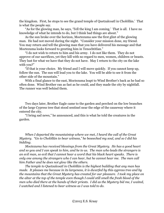the kingdom. First, he stops to see the grand temple of Quetzalcoatl in Cholōllān.' That is what the people say.

"As for the glowing man, he says, 'Tell the king I am coming.' That is all. I have no knowledge of what he intends to do, but I think bad things are about."

As the sun broke over the horizon, Moctezuma saw the first glint of the glowing man. He had not moved during the night. "Consider your mission done, my friend. You may return and tell the glowing man that you have delivered his message and that Moctezuma looks forward to greeting him in Tenochtitlan."

"I do not wish to return to him and his army. I do not like them. They do not approve of our sacrifices, yet they kill with no regard to men, women, children or beasts. They lust for what we have that they do not have. May I return to the city on the lake with you?"

"If that is your choice. My friend and I will move quickly. If you cannot keep up, follow the sun. The sun will lead you to the lake. You will be able to see it from the other side of the mountain."

With a final glance to the east, Moctezuma leapt to Wind Brother's back as he had so often done. Wind Brother ran as fast as he could, and they made the city by nightfall. The runner was well behind them.

Two days later, Brother Eagle came to the garden and perched on the low branches of the large Cypress tree that stood sentinel near the edge of the causeway where it entered the city.

"I bring sad news," he announced, and this is what he told the creatures in the garden.

*When I departed the mountaintop where we met, I heard the call of the Great Mystery. "Go to Cholōllān to bear witness," he beseeched my soul, and so I did his bidding.*

*Moctezuma has received blessings from the Great Mystery. He has a good heart and so you and I can speak to him, and he to us. The man who leads the strangers is an evil man, so evil that I cannot hear a word that his black heart speaks. There is only one among the strangers who I can hear, but he cannot hear me. The men call him Father and he does not glow like the others.*

*The temple to Quetzalcoatl in Cholōllān is the highest building that any man has made. It pleases me because in its largeness, it is dwarfed by this cypress tree and by the mountains that the Great Mystery has created for our pleasure. I took my place on the altar at the top of the temple even though I could still smell the fresh blood of the men who died there at the hands of their priests. I did as the Mystery bid me, I waited, I watched and I listened to bear witness as I was told to do.*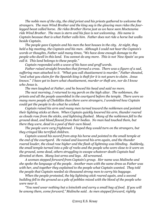*The noble men of the city, the chief priest and his priests gathered to welcome the strangers. The man Wind Brother and the king say is the glowing man rides the fourlegged beast called horse. He rides Brother Horse just as we have seen Moctezuma ride Wind Brother. The man is stern and his face is not welcoming. His name is Captain because that is what Father calls him. Father does not ride a horse but walks beside Captain.*

*The people gave Captain and his men the best houses in the city. At night, they held a big meeting, the Captain and his men. Although I could not hear the Captain's words or thoughts, Father said many times, "We have done enough damage to the people who dwell in this land. You cannot do any more. This is not 'New Spain' as you call it. This land belongs to these people."*

*Captain responded with a wave of his have and gruff words.*

*Father raised straight branches that formed a cross. There was a figure of a sad, suffering man attached to it. "What you call chastisement is murder," Father shouted, "and what you claim for the Spanish king is theft for it is not yours to claim. Jesus knows." I have yet to learn what chastisement, murder or theft are, nor do I know who Jesus is.*

*The men laughed at Father, and he bowed his head and said no more.*

*The next morning, I returned to my perch on the high altar. The noblemen, the priests and all the people assembled in the courtyard before the temple. There were so many more people of Cholōllān than there were strangers, I wondered how Captain could get the people to do what he wished.*

*Captain raised his arm and many men turned toward the noblemen and pointed their lighting sticks at them. When Captain quickly lowered his arm, thunder roared as clouds rose from the sticks, and lightning flashed. Many of the noblemen fell to the ground dead, and blood flowed from their bodies. No man had touched them, but there they were, dead in a pool of their own blood.*

*The people were very frightened. I hoped they would turn on the strangers, but they cringed like terrified children.*

*Captain waved his sword from atop his horse and pointed to the small temple at the end of the courtyard. He raised and lowered his arm again, and the thunder roared louder, the cloud rose higher and the flash of lightning was blinding. Suddenly, the small temple turned into a pile of rocks and the people who were close to it were on the ground, some dead, others struggling to escape whatever death Captain had directed at them. Many lost arms and legs. All screamed.*

*A woman stepped forward from Captain's group. Her name was Malinche and she spoke the language of the people. Another man with the same dress as Father was with her, and together they explained to the people what Captain wanted. They told the people that Captain needed six thousand strong men to carry his baggage.*

*When the people protested, the big lightning stick roared again, and a second building fell to the ground as a pile of pebbles mixed with the blood of the people who were near it.*

*"You need wear nothing but a loincloth and carry a small bag of food. If you will be among them, come forward," Malinche said. As men stepped forward, rightly*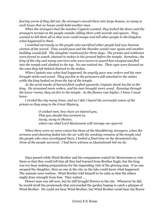*fearing worse if they did not, the strangers moved them into large houses, so many in each house that no house could hold another man.*

*When the strangers had the number Captain wanted, they locked the doors and the strangers turned on the people outside, killing them with swords and spears. They wanted to kill them all so that none could escape and tell other people in the kingdom what happened to them.*

*I watched nervously as the people who sacrificed other people had now become victims of the sword. Time would pass and the thunder would roar again and another building would fall. The slaughter continued for three days. The priests and noblemen were forced to watch, chained to stakes in the ground before the temple. Somehow, the king of the city and many warriors who were sworn to guard him escaped and fled into the temple and climbed to the top. No one noticed me. Their eyes were focused on the ones they left behind chained to the stakes.*

*When Captain saw what had happened, he angrily gave new orders and his men brought sticks and wood. They put fire to the prisoners still attached to the stakes while the king looked on from the top of the temple.*

*As the acrid smoke of burned flesh wafted upwards, Captain shook his fist at the king. He screamed more orders, and his men brought more wood. Running through the lower rooms, they set fire to the temple. As the flames rose higher, I knew I must leave.*

*I circled the city many times, and as I did, I heard the sorrowful voices of the priests as they sang to the Great Mystery,*

> *O wicked men, how have we injured you, That you should thus torment us. Away, away to Mexico, where our chief Lord Moctezuma will revenge our quarrel.*

*When there were no more voices but those of the bloodthirsty strangers, when the screams and chanting faded into the air with the smoking remains of the temple and the people who once worshipped there, I looked a final time on the devastated city. None of the people survived. I had born witness as Quetzalcoatl bid me do.*

Days passed while Wind Brother and his companions waited for Moctezuma to visit them so that they could tell him all they had learned from Brother Eagle, but the king was too busy making preparations for the impending visit of the glowing man. If no one escaped the slaughter, then no one at the city on the lake could know what happened. The animals were restless. Wind Brother told himself to be calm so that the others might draw strength from him. They waited ….

Flower man was old now, but he still brought flowers to the city. Whenever he did, he would stroll the promenade that surrounded the garden hoping to catch a glimpse of Wind Brother. He could not hear Wind Brother, but Wind Brother could hear the flower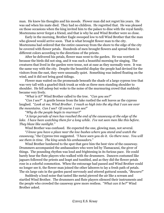man. He knew his thoughts and his moods. Flower man did not regret his years. He was sad when his mate died. They had no children. He regretted that. He was pleased on those occasions when the king invited him to the palace to dine with the royal family. Moctezuma never forgot a friend, and that is why he and Wind Brother were so close.

Early in the morning, Brother Eagle swooped low to tell Wind Brother that the man who glowed would arrive soon. That is what brought flower man to the city. Moctezuma had ordered that the entire causeway from the shore to the edge of the city be covered with flower petals. Hundreds of men brought flowers and spread them in different colors according to the directions of the priests.

After he delivered his petals, flower man went to the garden. He was worried because the birds did not sing, and it was such a beautiful morning for singing. The creatures that lived in the garden were tense, not at ease as they normally were. It was the same way with the city. Despite the beautiful display the people had devised for the visitors from the east, they were unusually quiet. Something was indeed floating on the wind, and it did not bring good tidings.

Flower man waited on the promenade beneath the shade of a large cypress tree that was very tall with a gnarled thick trunk as wide as three men standing shoulder to shoulder. He fell asleep but woke to the noise of the murmuring crowd that suddenly became very lively.

"*What is it?*" Wind Brother called to the tree. "*Can you see?*"

"*Can I see?*" A gentle breeze from the lake rustled the soft leaves as the cypress laughed. "*Look at me, Wind Brother. I reach so high into the sky that I can see over the mountains. Can I see? Of course I can see!*"

"*Why do the people begin to murmur?*"

"*A large parade of men has reached the end of the causeway at the edge of the lake. I have been watching them for a long while. I've not seen men like this before. They blaze like sunlight."*

Wind Brother was confused. He expected the one, glowing man, not several.

"*I know you have a place near the low bushes where you stand and watch the causeway,"* the Cypress tree suggested*. "I have seen you do it. Go there now. You will see them in time. The king sends his ambassadors.*"

Wind Brother lumbered to the spot that gave him the best view of the causeway. Drummers accompanied the ambassadors who were led by Tlamacazui, the giver of things. The pounding rhythm was loud and frightening in its furious pace. He could barely hear the flute players who walked with the drummers. Dancers costumed like jaguars followed the priests and leapt and tumbled, and as they did the flower petals rose in a colorful commotion. When the entourage had passed and Wind Brother could no longer see it, the flower man joined the other laborers to lay a fresh path of petals. The six large cats in the garden paced nervously and uttered guttural sounds, "*Beware!*"

Suddenly a loud noise that tasted like metal pierced the air like a scream and startled Wind Brother. The drummers and flute players silenced their instruments and the people who crowded the causeway grew more restless. "*What can it be?*" Wind Brother asked.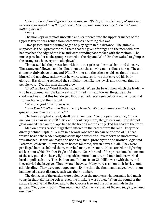"*I do not know," the Cypress tree answered. "Perhaps it is their way of speaking. Several men raised long things to their lips and the noise resounded. I have heard nothing like it.*"

"*Nor I.*"

The monkeys were most unsettled and scampered into the upper branches of the Cypress tree to seek refuge from whatever strange thing this was.

Time passed and the drums began to play again in the distance. The animals supposed as the Cypress tree told them that the giver of things and the men with him had reached the edge of the lake and were standing face to face with the visitors. The music grew louder as the group returned to the city and Wind Brother waited to glimpse the strangers who everyone said glowed.

Tlamacazui led the procession with the other priests, the musicians and dancers. The strangers followed, and leading them was the glowing man riding a horse. The sun shone brightly above them, and Wind Brother and the others could see that the man himself did not glow, rather what he wore, whatever it was that covered his body glowed. His clothing reflected the sunlight much like the jewels and trinkets that the people wore. No, this man did not glow.

"*Brother Horse*," Wind Brother called out. When the beast upon which the leader – who he supposed was Captain – sat and turned his head toward the garden, the creatures knew that this four-legged that they had never seen before was the horse that Brother Eagle told them about.

"*Who are you?*" the horse asked.

"*I am Wind Brother and these are my friends. We are prisoners in the king's garden, though he treats us well.*"

The horse neighed a brief, shrill cry of laughter. "*We are prisoners, too, but the men do not treat us so well.*" Before he could say more, the glowing man who did not glow yanked hard on the rope tied to the horse's mouth and jerked his head to the front.

Men on horses carried flags that fluttered in the breeze from the lake. They rode directly behind Captain. A man in a brown robe with no hair on the top of his head walked beside the leader carrying sticks upon which the lifeless form of another man was attached. It was an image and not a real man, probably the one Brother Eagle said Father called Jesus. Many men on horses followed, fifteen horses in all. They were privileged because behind them, marched many more men. Most carried the lightning sticks about which Brother Eagle told them. Near the end of the procession, Indians not of the city pulled the heavy lightning sticks, more than ten, and four Indians worked hard to pull each one. The six thousand Indians from Cholōllān were with them, and they carried the baggage. They sweated heavily. Many wore scars on their backs, some still bleeding. They were not happy men. By the time the final man trudged by, the sun had moved a great distance, such was their number.

The denizens of the garden were quiet, even the monkeys who normally had much to say in their chattering voices, even the monkeys were quiet. When the sound of the parade faded, Wind Brother said to the Cypress tree and the other animals in the garden, "*They are no gods. This man who rides the horse is not the one the people have awaited.*"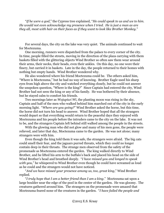"*If he were a god*," the Cypress tree explained, "*He could speak to us and we to him. He would not even acknowledge my presence when I tried. He is just a man as are they all, most with hair on their faces as if they want to look like Brother Monkey.*"

For several days, the city on the lake was very quiet. The animals continued to wait for Moctezuma.

One morning, runners were dispatched from the palace to every corner of the city. In time, people filled the streets, moving in the direction of the plaza carrying with them baskets filled with the glittering objects Wind Brother so often saw them wear around their arms, their necks, their heads, even their ankles. On this day, no one wore their finery, but carried it in baskets. Late in the day, the people returned to their homes with nothing but empty hands. Wind Brother wondered why.

He also wondered where his friend Moctezuma could be. The others asked him, "Where is Moctezuma," but he had no way of knowing. Brother Eagle used his sharp eyes from high above the city and watched everything closely, but he could not answer the unspoken question, "Where is the king?" Since Captain had entered the city, Wind Brother had not seen the king or any of his family. He was bothered by their absence, but he stayed calm to comfort his friends.

Two mornings later as *Wojupiwi Wi*, the planting moon was rising in the sky, Captain and half of the men who walked behind him marched out of the city in the early morning light. "*Where are you going?*" Wind Brother asked the horse, but this time, the horse did not turn his head to answer. Wind Brother hoped that all the strangers would depart so that everything would return to the peaceful days they enjoyed with Moctezuma and his people before the intruders came to the city on the lake. It was not to be, and the strangers Captain left behind still walked among the people in the streets.

With the glowing man who did not glow and many of his men gone, the people were relieved, and later that day, Moctezuma came to the garden. He was not alone; many strangers were with him.

Even though the king told them it was safe, the strangers were afraid. The big cats could smell their fear, and the jaguars purred threats, which they could no longer contain deep in their throats. The strange men observed from the safety of the promenade as Moctezuma entered the garden. The king walked directly to Wind Brother, and he lifted his arm to the buffalo's back and placed his head on the side of Wind Brother's head and breathed deeply. "*I have missed you and longed to speak with you*," he whispered to Wind Brother even though he could have screamed as loud as he could and the strangers would not have noticed.

"*And we have missed your presence among us, too, great king*," Wind Brother replied.

"*I truly hope that I am a better friend than I am a king*." Moctezuma sat upon a large boulder near the edge of the pool in the center of the garden. He was gloomy. The creatures gathered around him. The strangers on the promenade were amazed that Moctezuma feared none of the creatures in the garden. "*I have failed the people and*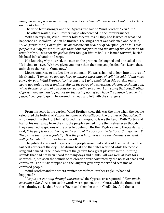*now find myself a prisoner in my own palace. They call their leader Captain Cortés. I do not like him.* "

The wind blew stronger and the Cypress tree said to Wind Brother, "*Tell him*." The others waited, even Brother Eagle who perched in the lower branches.

With a heavy sigh, Wind Brother told Moctezuma all they had learned of what had happened at Cholōllān. When he finished, the king's heart was saddened and he said, "*Like Quetzalcoatl, Cortés frowns on our ancient practice of sacrifice, yet he kills our people in a way far more savage than how our priests end the lives of the chosen on the temple altar. He is not the god we first thought him to be.*" He leaned forward, buried his head in his hands and wept.

Not knowing why he cried, the men on the promenade laughed and one called out, "It is time to leave. We have given you more than the time you pleaded for. Leave these animals to their shit. Come now."

Moctezuma rose to his feet like an old man. He was ashamed to look into the eyes of his friends. "*I am sorry you are here to witness these days of evil," he said. "I am most sorry for you, Wind Brother, for it is you and I who established this garden many years ago only to see it and this city on the verge of destruction. No longer should you, Wind Brother or any of you consider yourself a prisoner. I am sorry that you, Brother Cypress have no way to flee. As for the rest of you, if you have the chance to leave this place, I beg you to go.*" He lowered his head and left with the strangers.

From his years in the garden, Wind Brother knew this was the time when the people celebrated the festival of *Toxcatl* in honor of *Tezcatlipoca*, the brother of *Quetzalcoatl* who caused him the trouble that forced the man-god to leave the land. With Cortés and half of his men away from the city, the people seemed more themselves even though they remained suspicious of the ones left behind. Brother Eagle came to the garden and said, "*The people are gathering in the patio of the gods for the festival. Can you hear? They raise their voices joyfully. It is the first happiness since the strangers arrived. I will go to watch!*" Brother Eagle flew off.

The jubilant cries and prayers of the people were loud and could be heard from the farthest corners of the city. The drums beat and the flutes whistled while the people sang and danced. The inhabitants of the garden took great pleasure in the uplifting sounds that had not been heard for many days and nights. All was well, at least for a short while, but soon the sounds of celebration were corrupted by the noise of chaos and confusion. The music stopped and the laughter gave way to terrified screams of confused people.

Wind Brother and the others awaited word from Brother Eagle. What had happened?

"*People are running through the streets,*" the Cypress tree reported. "*Fear masks everyone's face.*" As soon as the words were spoken, the air burst with the thunder of the lightning sticks that Brother Eagle told them he saw in Cholōllān. And then a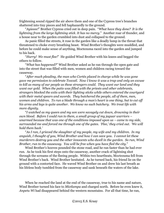frightening sound ripped the air above them and one of the Cypress tree's branches shattered into tiny pieces and fell haphazardly to the ground.

"*Ayieeee!*" Brother Cypress cried out in deep pain. "*What have they done? It is the lightning from the large lightning stick. It has no mercy.*" Another roar of thunder, and a house near to the garden crumbled into dust and collapsed to the ground.

As panic filled the streets, it rose in the garden like a deadly lump in the throat that threatened to choke every breathing beast. Wind Brother's thoughts were muddled, and before he could make sense of anything, Moctezuma raced into the garden and jumped to his back.

"*Hurry! We must flee!*" He guided Wind Brother with his knees and begged the others to follow.

"*What has happened?*" Wind Brother asked as he ran through the open gate and into the street that was filled with men, women and children racing toward the causeway.

"*After much pleading, the man who Cortés placed in charge while he was gone gave me permission to celebrate Toxcatl. Now I know it was a trap and only an excuse to kill as many of our people as these strangers could. They want our land and they want our gold. When the patio was filled with the priests and other celebrants, strangers blocked the exits with their lighting sticks while others entered the courtyard with their metal spears and swords. They butchered the people, all of them, men, women and children. To run a blade through a man's heart is one thing, but to cut off his arms and legs is quite another. We know no such butchery. We treat life with more dignity.*

"*I watched as my queen and my son were savagely cut down, drowning in their own blood. Before I could run to them, a small group of my jaguar warriors – unarmed because that was one of the conditions imposed upon us – came to my side, surrounded me and forced me through one of the gates. 'Flee,' they cried out. 'We will hold them back.'*

"*As I ran, I grieved the slaughter of my people, my wife and my children. In my anguish, I thought of you, Wind Brother and how I can save you. I cannot let these murderers destroy you and the other innocents who dwell in the garden. So run, Wind Brother, run to the causeway. You will be free when you have fled the city.*"

Wind Brother's hooves pounded the stone road, and he ran faster than he had ever run. As he took his first steps onto the causeway, another crack of lightning shot through the screams of the fleeing people. Within two heartbeats, Moctezuma fell from Wind Brother's back. Wind Brother hesitated. As he turned back, his friend lie on the ground with a contorted face. He waved Wind Brother on and drew his last breath as his lifeless body tumbled from the causeway and sank beneath the waters of the lake.

When he reached the land at the end of the causeway, true to his name and nature, Wind Brother turned his face to *Mictlampa* and charged north. Before he even knew it, *Anpetu Wi* had disappeared behind the western mountains. For all that time, he ran,